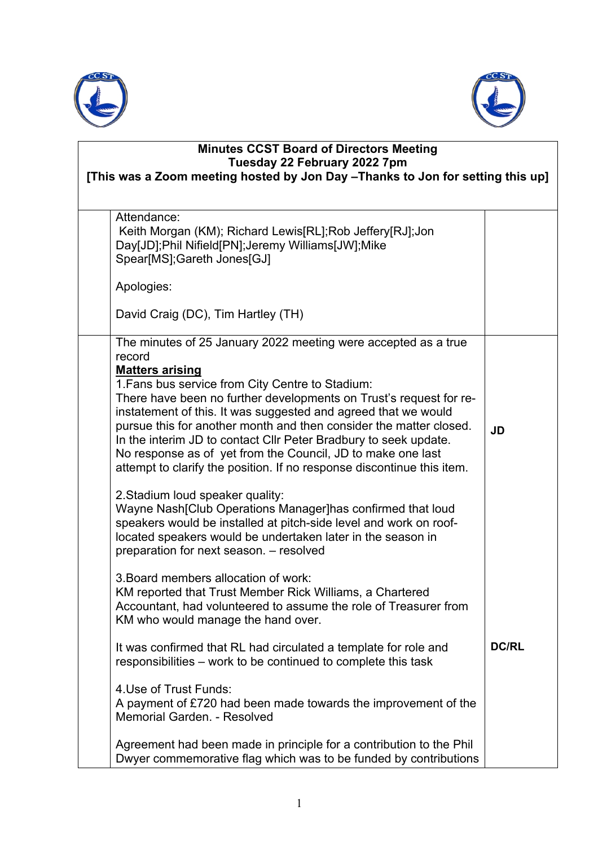



| <b>Minutes CCST Board of Directors Meeting</b><br>Tuesday 22 February 2022 7pm<br>[This was a Zoom meeting hosted by Jon Day - Thanks to Jon for setting this up]                                                                                                                                                                                                                                                                                                                                                                                                                                                                                                                                                                                          |              |
|------------------------------------------------------------------------------------------------------------------------------------------------------------------------------------------------------------------------------------------------------------------------------------------------------------------------------------------------------------------------------------------------------------------------------------------------------------------------------------------------------------------------------------------------------------------------------------------------------------------------------------------------------------------------------------------------------------------------------------------------------------|--------------|
| Attendance:<br>Keith Morgan (KM); Richard Lewis[RL]; Rob Jeffery[RJ]; Jon<br>Day[JD];Phil Nifield[PN];Jeremy Williams[JW];Mike<br>Spear[MS];Gareth Jones[GJ]                                                                                                                                                                                                                                                                                                                                                                                                                                                                                                                                                                                               |              |
| Apologies:                                                                                                                                                                                                                                                                                                                                                                                                                                                                                                                                                                                                                                                                                                                                                 |              |
| David Craig (DC), Tim Hartley (TH)                                                                                                                                                                                                                                                                                                                                                                                                                                                                                                                                                                                                                                                                                                                         |              |
| The minutes of 25 January 2022 meeting were accepted as a true<br>record<br><b>Matters arising</b><br>1. Fans bus service from City Centre to Stadium:<br>There have been no further developments on Trust's request for re-<br>instatement of this. It was suggested and agreed that we would<br>pursue this for another month and then consider the matter closed.<br>In the interim JD to contact CIIr Peter Bradbury to seek update.<br>No response as of yet from the Council, JD to make one last<br>attempt to clarify the position. If no response discontinue this item.<br>2. Stadium loud speaker quality:<br>Wayne Nash [Club Operations Manager] has confirmed that loud<br>speakers would be installed at pitch-side level and work on roof- | <b>JD</b>    |
| located speakers would be undertaken later in the season in<br>preparation for next season. - resolved<br>3. Board members allocation of work:<br>KM reported that Trust Member Rick Williams, a Chartered<br>Accountant, had volunteered to assume the role of Treasurer from<br>KM who would manage the hand over.                                                                                                                                                                                                                                                                                                                                                                                                                                       |              |
| It was confirmed that RL had circulated a template for role and<br>responsibilities – work to be continued to complete this task                                                                                                                                                                                                                                                                                                                                                                                                                                                                                                                                                                                                                           | <b>DC/RL</b> |
| 4. Use of Trust Funds:<br>A payment of £720 had been made towards the improvement of the<br>Memorial Garden. - Resolved                                                                                                                                                                                                                                                                                                                                                                                                                                                                                                                                                                                                                                    |              |
| Agreement had been made in principle for a contribution to the Phil<br>Dwyer commemorative flag which was to be funded by contributions                                                                                                                                                                                                                                                                                                                                                                                                                                                                                                                                                                                                                    |              |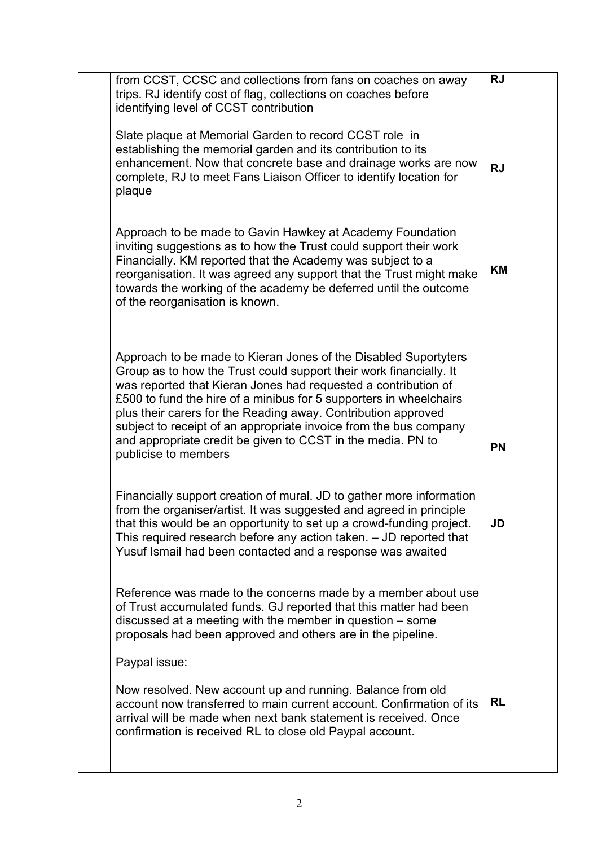| from CCST, CCSC and collections from fans on coaches on away<br>trips. RJ identify cost of flag, collections on coaches before<br>identifying level of CCST contribution                                                                                                                                                                                                                                                                                                                                   | <b>RJ</b> |
|------------------------------------------------------------------------------------------------------------------------------------------------------------------------------------------------------------------------------------------------------------------------------------------------------------------------------------------------------------------------------------------------------------------------------------------------------------------------------------------------------------|-----------|
| Slate plaque at Memorial Garden to record CCST role in<br>establishing the memorial garden and its contribution to its<br>enhancement. Now that concrete base and drainage works are now<br>complete, RJ to meet Fans Liaison Officer to identify location for<br>plaque                                                                                                                                                                                                                                   | <b>RJ</b> |
| Approach to be made to Gavin Hawkey at Academy Foundation<br>inviting suggestions as to how the Trust could support their work<br>Financially. KM reported that the Academy was subject to a<br>reorganisation. It was agreed any support that the Trust might make<br>towards the working of the academy be deferred until the outcome<br>of the reorganisation is known.                                                                                                                                 | ΚM        |
| Approach to be made to Kieran Jones of the Disabled Suportyters<br>Group as to how the Trust could support their work financially. It<br>was reported that Kieran Jones had requested a contribution of<br>£500 to fund the hire of a minibus for 5 supporters in wheelchairs<br>plus their carers for the Reading away. Contribution approved<br>subject to receipt of an appropriate invoice from the bus company<br>and appropriate credit be given to CCST in the media. PN to<br>publicise to members | <b>PN</b> |
| Financially support creation of mural. JD to gather more information<br>from the organiser/artist. It was suggested and agreed in principle<br>that this would be an opportunity to set up a crowd-funding project.<br>This required research before any action taken. - JD reported that<br>Yusuf Ismail had been contacted and a response was awaited                                                                                                                                                    | JD        |
| Reference was made to the concerns made by a member about use<br>of Trust accumulated funds. GJ reported that this matter had been<br>discussed at a meeting with the member in question $-$ some<br>proposals had been approved and others are in the pipeline.                                                                                                                                                                                                                                           |           |
| Paypal issue:                                                                                                                                                                                                                                                                                                                                                                                                                                                                                              |           |
| Now resolved. New account up and running. Balance from old<br>account now transferred to main current account. Confirmation of its<br>arrival will be made when next bank statement is received. Once<br>confirmation is received RL to close old Paypal account.                                                                                                                                                                                                                                          | <b>RL</b> |
|                                                                                                                                                                                                                                                                                                                                                                                                                                                                                                            |           |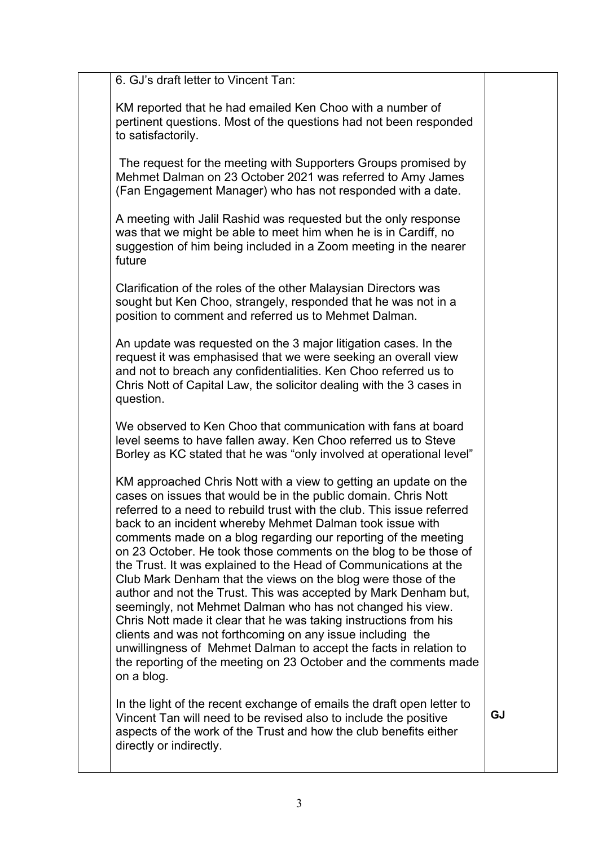6. GJ's draft letter to Vincent Tan:

KM reported that he had emailed Ken Choo with a number of pertinent questions. Most of the questions had not been responded to satisfactorily.

The request for the meeting with Supporters Groups promised by Mehmet Dalman on 23 October 2021 was referred to Amy James (Fan Engagement Manager) who has not responded with a date.

A meeting with Jalil Rashid was requested but the only response was that we might be able to meet him when he is in Cardiff, no suggestion of him being included in a Zoom meeting in the nearer future

Clarification of the roles of the other Malaysian Directors was sought but Ken Choo, strangely, responded that he was not in a position to comment and referred us to Mehmet Dalman.

An update was requested on the 3 major litigation cases. In the request it was emphasised that we were seeking an overall view and not to breach any confidentialities. Ken Choo referred us to Chris Nott of Capital Law, the solicitor dealing with the 3 cases in question.

We observed to Ken Choo that communication with fans at board level seems to have fallen away. Ken Choo referred us to Steve Borley as KC stated that he was "only involved at operational level"

KM approached Chris Nott with a view to getting an update on the cases on issues that would be in the public domain. Chris Nott referred to a need to rebuild trust with the club. This issue referred back to an incident whereby Mehmet Dalman took issue with comments made on a blog regarding our reporting of the meeting on 23 October. He took those comments on the blog to be those of the Trust. It was explained to the Head of Communications at the Club Mark Denham that the views on the blog were those of the author and not the Trust. This was accepted by Mark Denham but, seemingly, not Mehmet Dalman who has not changed his view. Chris Nott made it clear that he was taking instructions from his clients and was not forthcoming on any issue including the unwillingness of Mehmet Dalman to accept the facts in relation to the reporting of the meeting on 23 October and the comments made on a blog.

In the light of the recent exchange of emails the draft open letter to Vincent Tan will need to be revised also to include the positive aspects of the work of the Trust and how the club benefits either directly or indirectly.

**GJ**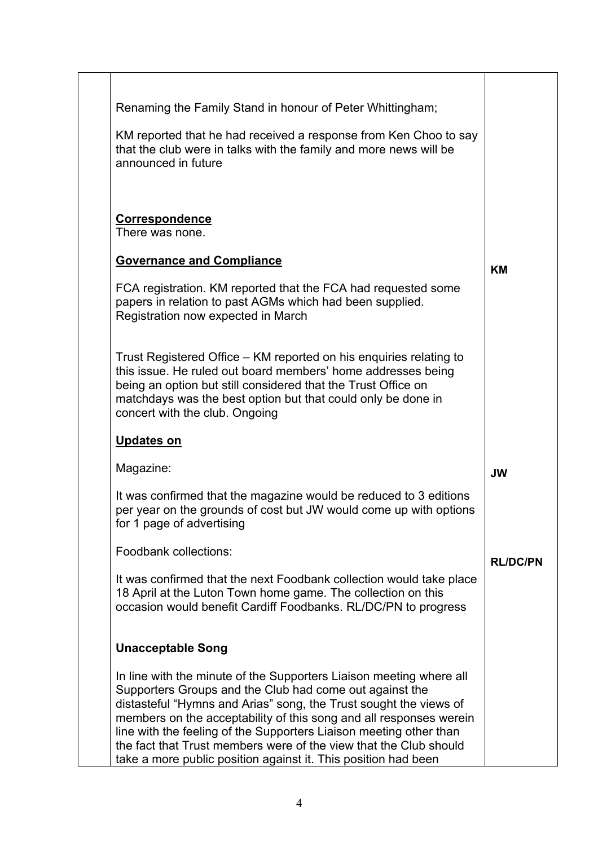| Renaming the Family Stand in honour of Peter Whittingham;                                                                                                                                                                                                                                                                                                                                                                                                                              |                 |
|----------------------------------------------------------------------------------------------------------------------------------------------------------------------------------------------------------------------------------------------------------------------------------------------------------------------------------------------------------------------------------------------------------------------------------------------------------------------------------------|-----------------|
| KM reported that he had received a response from Ken Choo to say<br>that the club were in talks with the family and more news will be<br>announced in future                                                                                                                                                                                                                                                                                                                           |                 |
| <b>Correspondence</b><br>There was none.                                                                                                                                                                                                                                                                                                                                                                                                                                               |                 |
| <b>Governance and Compliance</b>                                                                                                                                                                                                                                                                                                                                                                                                                                                       | <b>KM</b>       |
| FCA registration. KM reported that the FCA had requested some<br>papers in relation to past AGMs which had been supplied.<br>Registration now expected in March                                                                                                                                                                                                                                                                                                                        |                 |
| Trust Registered Office – KM reported on his enquiries relating to<br>this issue. He ruled out board members' home addresses being<br>being an option but still considered that the Trust Office on<br>matchdays was the best option but that could only be done in<br>concert with the club. Ongoing                                                                                                                                                                                  |                 |
| <b>Updates on</b>                                                                                                                                                                                                                                                                                                                                                                                                                                                                      |                 |
| Magazine:                                                                                                                                                                                                                                                                                                                                                                                                                                                                              | <b>JW</b>       |
| It was confirmed that the magazine would be reduced to 3 editions<br>per year on the grounds of cost but JW would come up with options<br>for 1 page of advertising                                                                                                                                                                                                                                                                                                                    |                 |
| <b>Foodbank collections:</b>                                                                                                                                                                                                                                                                                                                                                                                                                                                           | <b>RL/DC/PN</b> |
| It was confirmed that the next Foodbank collection would take place<br>18 April at the Luton Town home game. The collection on this<br>occasion would benefit Cardiff Foodbanks. RL/DC/PN to progress                                                                                                                                                                                                                                                                                  |                 |
| <b>Unacceptable Song</b>                                                                                                                                                                                                                                                                                                                                                                                                                                                               |                 |
| In line with the minute of the Supporters Liaison meeting where all<br>Supporters Groups and the Club had come out against the<br>distasteful "Hymns and Arias" song, the Trust sought the views of<br>members on the acceptability of this song and all responses werein<br>line with the feeling of the Supporters Liaison meeting other than<br>the fact that Trust members were of the view that the Club should<br>take a more public position against it. This position had been |                 |